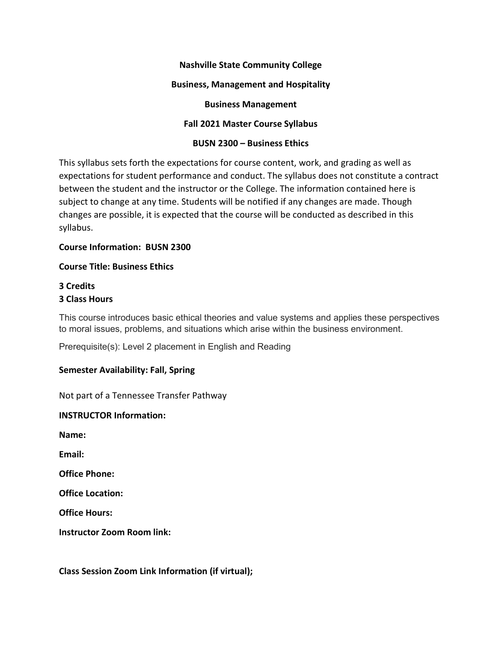#### Nashville State Community College

#### Business, Management and Hospitality

Business Management

### Fall 2021 Master Course Syllabus

#### BUSN 2300 – Business Ethics

This syllabus sets forth the expectations for course content, work, and grading as well as expectations for student performance and conduct. The syllabus does not constitute a contract between the student and the instructor or the College. The information contained here is subject to change at any time. Students will be notified if any changes are made. Though changes are possible, it is expected that the course will be conducted as described in this syllabus.

#### Course Information: BUSN 2300

#### Course Title: Business Ethics

#### 3 Credits 3 Class Hours

This course introduces basic ethical theories and value systems and applies these perspectives to moral issues, problems, and situations which arise within the business environment.

Prerequisite(s): Level 2 placement in English and Reading

#### Semester Availability: Fall, Spring

Not part of a Tennessee Transfer Pathway

#### INSTRUCTOR Information:

Name:

Email:

Office Phone:

Office Location:

Office Hours:

Instructor Zoom Room link:

Class Session Zoom Link Information (if virtual);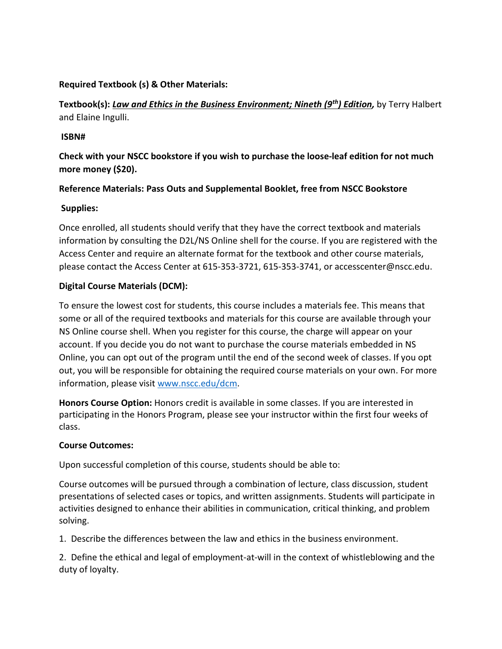### Required Textbook (s) & Other Materials:

Textbook(s): Law and Ethics in the Business Environment; Nineth (9<sup>th</sup>) Edition, by Terry Halbert and Elaine Ingulli.

### ISBN#

Check with your NSCC bookstore if you wish to purchase the loose-leaf edition for not much more money (\$20).

# Reference Materials: Pass Outs and Supplemental Booklet, free from NSCC Bookstore

# Supplies:

Once enrolled, all students should verify that they have the correct textbook and materials information by consulting the D2L/NS Online shell for the course. If you are registered with the Access Center and require an alternate format for the textbook and other course materials, please contact the Access Center at 615-353-3721, 615-353-3741, or accesscenter@nscc.edu.

# Digital Course Materials (DCM):

To ensure the lowest cost for students, this course includes a materials fee. This means that some or all of the required textbooks and materials for this course are available through your NS Online course shell. When you register for this course, the charge will appear on your account. If you decide you do not want to purchase the course materials embedded in NS Online, you can opt out of the program until the end of the second week of classes. If you opt out, you will be responsible for obtaining the required course materials on your own. For more information, please visit www.nscc.edu/dcm.

Honors Course Option: Honors credit is available in some classes. If you are interested in participating in the Honors Program, please see your instructor within the first four weeks of class.

# Course Outcomes:

Upon successful completion of this course, students should be able to:

Course outcomes will be pursued through a combination of lecture, class discussion, student presentations of selected cases or topics, and written assignments. Students will participate in activities designed to enhance their abilities in communication, critical thinking, and problem solving.

1. Describe the differences between the law and ethics in the business environment.

2. Define the ethical and legal of employment-at-will in the context of whistleblowing and the duty of loyalty.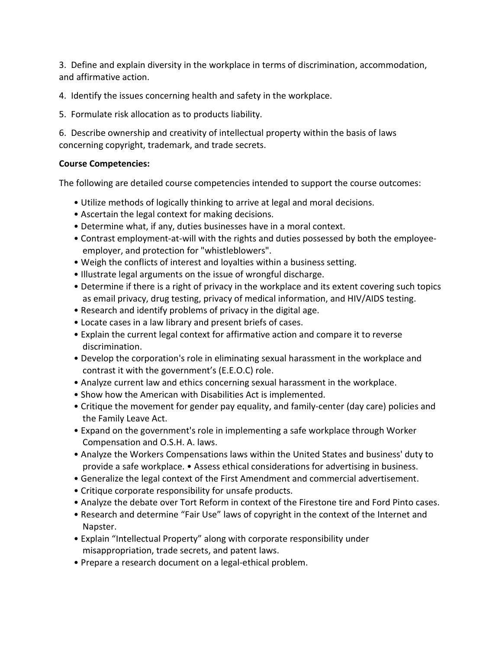3. Define and explain diversity in the workplace in terms of discrimination, accommodation, and affirmative action.

4. Identify the issues concerning health and safety in the workplace.

5. Formulate risk allocation as to products liability.

6. Describe ownership and creativity of intellectual property within the basis of laws concerning copyright, trademark, and trade secrets.

# Course Competencies:

The following are detailed course competencies intended to support the course outcomes:

- Utilize methods of logically thinking to arrive at legal and moral decisions.
- Ascertain the legal context for making decisions.
- Determine what, if any, duties businesses have in a moral context.
- Contrast employment-at-will with the rights and duties possessed by both the employeeemployer, and protection for "whistleblowers".
- Weigh the conflicts of interest and loyalties within a business setting.
- Illustrate legal arguments on the issue of wrongful discharge.
- Determine if there is a right of privacy in the workplace and its extent covering such topics as email privacy, drug testing, privacy of medical information, and HIV/AIDS testing.
- Research and identify problems of privacy in the digital age.
- Locate cases in a law library and present briefs of cases.
- Explain the current legal context for affirmative action and compare it to reverse discrimination.
- Develop the corporation's role in eliminating sexual harassment in the workplace and contrast it with the government's (E.E.O.C) role.
- Analyze current law and ethics concerning sexual harassment in the workplace.
- Show how the American with Disabilities Act is implemented.
- Critique the movement for gender pay equality, and family-center (day care) policies and the Family Leave Act.
- Expand on the government's role in implementing a safe workplace through Worker Compensation and O.S.H. A. laws.
- Analyze the Workers Compensations laws within the United States and business' duty to provide a safe workplace. • Assess ethical considerations for advertising in business.
- Generalize the legal context of the First Amendment and commercial advertisement.
- Critique corporate responsibility for unsafe products.
- Analyze the debate over Tort Reform in context of the Firestone tire and Ford Pinto cases.
- Research and determine "Fair Use" laws of copyright in the context of the Internet and Napster.
- Explain "Intellectual Property" along with corporate responsibility under misappropriation, trade secrets, and patent laws.
- Prepare a research document on a legal-ethical problem.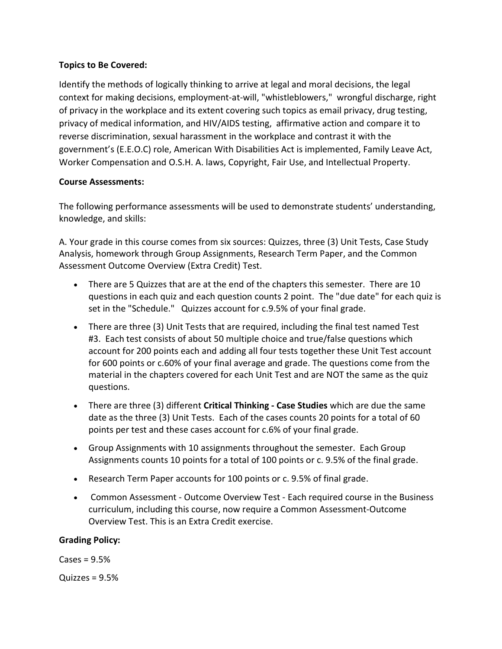### Topics to Be Covered:

Identify the methods of logically thinking to arrive at legal and moral decisions, the legal context for making decisions, employment-at-will, "whistleblowers," wrongful discharge, right of privacy in the workplace and its extent covering such topics as email privacy, drug testing, privacy of medical information, and HIV/AIDS testing, affirmative action and compare it to reverse discrimination, sexual harassment in the workplace and contrast it with the government's (E.E.O.C) role, American With Disabilities Act is implemented, Family Leave Act, Worker Compensation and O.S.H. A. laws, Copyright, Fair Use, and Intellectual Property.

### Course Assessments:

The following performance assessments will be used to demonstrate students' understanding, knowledge, and skills:

A. Your grade in this course comes from six sources: Quizzes, three (3) Unit Tests, Case Study Analysis, homework through Group Assignments, Research Term Paper, and the Common Assessment Outcome Overview (Extra Credit) Test.

- There are 5 Quizzes that are at the end of the chapters this semester. There are 10 questions in each quiz and each question counts 2 point. The "due date" for each quiz is set in the "Schedule." Quizzes account for c.9.5% of your final grade.
- There are three (3) Unit Tests that are required, including the final test named Test #3. Each test consists of about 50 multiple choice and true/false questions which account for 200 points each and adding all four tests together these Unit Test account for 600 points or c.60% of your final average and grade. The questions come from the material in the chapters covered for each Unit Test and are NOT the same as the quiz questions.
- There are three (3) different Critical Thinking Case Studies which are due the same date as the three (3) Unit Tests. Each of the cases counts 20 points for a total of 60 points per test and these cases account for c.6% of your final grade.
- Group Assignments with 10 assignments throughout the semester. Each Group Assignments counts 10 points for a total of 100 points or c. 9.5% of the final grade.
- Research Term Paper accounts for 100 points or c. 9.5% of final grade.
- Common Assessment Outcome Overview Test Each required course in the Business curriculum, including this course, now require a Common Assessment-Outcome Overview Test. This is an Extra Credit exercise.

# Grading Policy:

 $\text{Cases} = 9.5\%$ Quizzes = 9.5%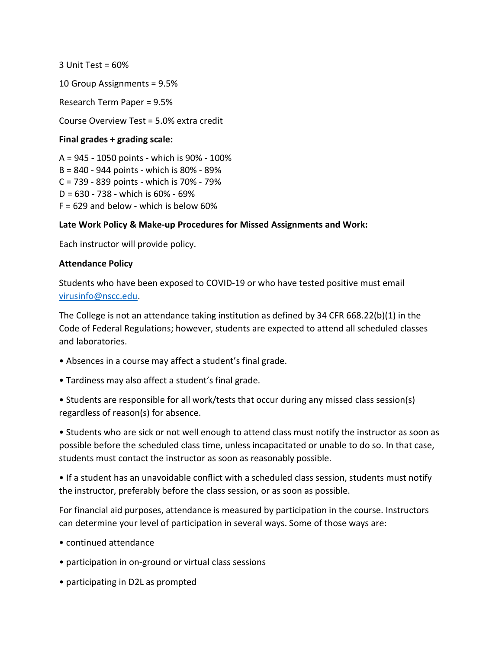$3$  Unit Test = 60%

10 Group Assignments = 9.5%

Research Term Paper = 9.5%

Course Overview Test = 5.0% extra credit

#### Final grades + grading scale:

A = 945 - 1050 points - which is 90% - 100% B = 840 - 944 points - which is 80% - 89% C = 739 - 839 points - which is 70% - 79% D = 630 - 738 - which is 60% - 69%  $F = 629$  and below - which is below 60%

#### Late Work Policy & Make-up Procedures for Missed Assignments and Work:

Each instructor will provide policy.

#### Attendance Policy

Students who have been exposed to COVID-19 or who have tested positive must email virusinfo@nscc.edu.

The College is not an attendance taking institution as defined by 34 CFR 668.22(b)(1) in the Code of Federal Regulations; however, students are expected to attend all scheduled classes and laboratories.

- Absences in a course may affect a student's final grade.
- Tardiness may also affect a student's final grade.
- Students are responsible for all work/tests that occur during any missed class session(s) regardless of reason(s) for absence.

• Students who are sick or not well enough to attend class must notify the instructor as soon as possible before the scheduled class time, unless incapacitated or unable to do so. In that case, students must contact the instructor as soon as reasonably possible.

• If a student has an unavoidable conflict with a scheduled class session, students must notify the instructor, preferably before the class session, or as soon as possible.

For financial aid purposes, attendance is measured by participation in the course. Instructors can determine your level of participation in several ways. Some of those ways are:

- continued attendance
- participation in on-ground or virtual class sessions
- participating in D2L as prompted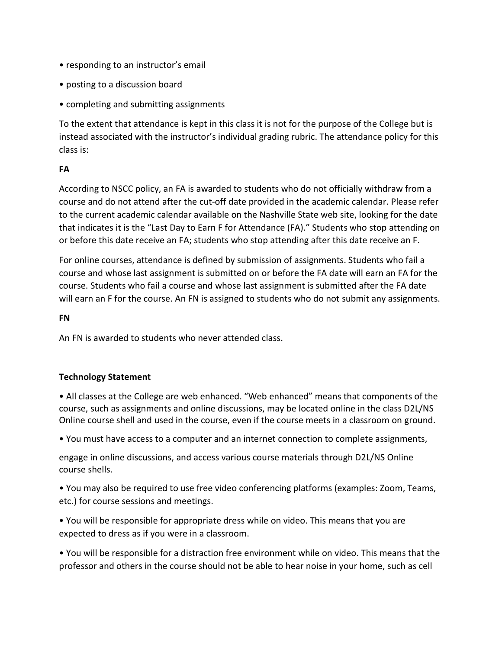- responding to an instructor's email
- posting to a discussion board
- completing and submitting assignments

To the extent that attendance is kept in this class it is not for the purpose of the College but is instead associated with the instructor's individual grading rubric. The attendance policy for this class is:

### FA

According to NSCC policy, an FA is awarded to students who do not officially withdraw from a course and do not attend after the cut-off date provided in the academic calendar. Please refer to the current academic calendar available on the Nashville State web site, looking for the date that indicates it is the "Last Day to Earn F for Attendance (FA)." Students who stop attending on or before this date receive an FA; students who stop attending after this date receive an F.

For online courses, attendance is defined by submission of assignments. Students who fail a course and whose last assignment is submitted on or before the FA date will earn an FA for the course. Students who fail a course and whose last assignment is submitted after the FA date will earn an F for the course. An FN is assigned to students who do not submit any assignments.

#### FN

An FN is awarded to students who never attended class.

# Technology Statement

• All classes at the College are web enhanced. "Web enhanced" means that components of the course, such as assignments and online discussions, may be located online in the class D2L/NS Online course shell and used in the course, even if the course meets in a classroom on ground.

• You must have access to a computer and an internet connection to complete assignments,

engage in online discussions, and access various course materials through D2L/NS Online course shells.

• You may also be required to use free video conferencing platforms (examples: Zoom, Teams, etc.) for course sessions and meetings.

• You will be responsible for appropriate dress while on video. This means that you are expected to dress as if you were in a classroom.

• You will be responsible for a distraction free environment while on video. This means that the professor and others in the course should not be able to hear noise in your home, such as cell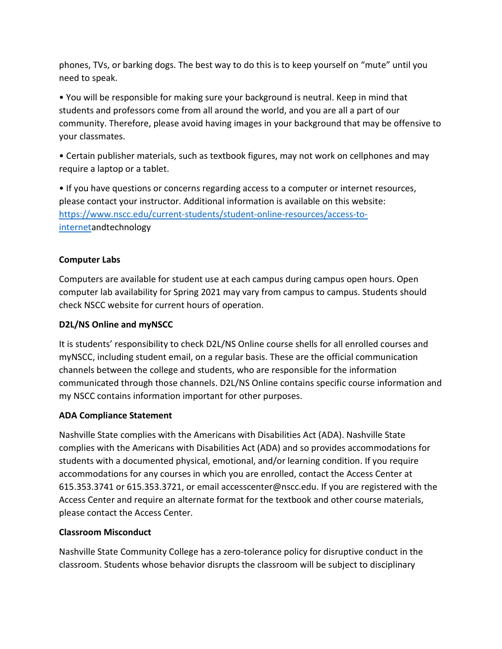phones, TVs, or barking dogs. The best way to do this is to keep yourself on "mute" until you need to speak.

• You will be responsible for making sure your background is neutral. Keep in mind that students and professors come from all around the world, and you are all a part of our community. Therefore, please avoid having images in your background that may be offensive to your classmates.

• Certain publisher materials, such as textbook figures, may not work on cellphones and may require a laptop or a tablet.

• If you have questions or concerns regarding access to a computer or internet resources, please contact your instructor. Additional information is available on this website: https://www.nscc.edu/current-students/student-online-resources/access-tointernetandtechnology

# Computer Labs

Computers are available for student use at each campus during campus open hours. Open computer lab availability for Spring 2021 may vary from campus to campus. Students should check NSCC website for current hours of operation.

# D2L/NS Online and myNSCC

It is students' responsibility to check D2L/NS Online course shells for all enrolled courses and myNSCC, including student email, on a regular basis. These are the official communication channels between the college and students, who are responsible for the information communicated through those channels. D2L/NS Online contains specific course information and my NSCC contains information important for other purposes.

# ADA Compliance Statement

Nashville State complies with the Americans with Disabilities Act (ADA). Nashville State complies with the Americans with Disabilities Act (ADA) and so provides accommodations for students with a documented physical, emotional, and/or learning condition. If you require accommodations for any courses in which you are enrolled, contact the Access Center at 615.353.3741 or 615.353.3721, or email accesscenter@nscc.edu. If you are registered with the Access Center and require an alternate format for the textbook and other course materials, please contact the Access Center.

# Classroom Misconduct

Nashville State Community College has a zero-tolerance policy for disruptive conduct in the classroom. Students whose behavior disrupts the classroom will be subject to disciplinary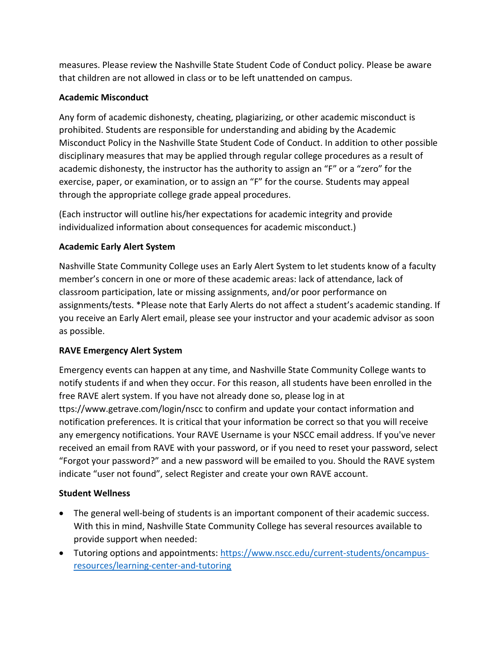measures. Please review the Nashville State Student Code of Conduct policy. Please be aware that children are not allowed in class or to be left unattended on campus.

# Academic Misconduct

Any form of academic dishonesty, cheating, plagiarizing, or other academic misconduct is prohibited. Students are responsible for understanding and abiding by the Academic Misconduct Policy in the Nashville State Student Code of Conduct. In addition to other possible disciplinary measures that may be applied through regular college procedures as a result of academic dishonesty, the instructor has the authority to assign an "F" or a "zero" for the exercise, paper, or examination, or to assign an "F" for the course. Students may appeal through the appropriate college grade appeal procedures.

(Each instructor will outline his/her expectations for academic integrity and provide individualized information about consequences for academic misconduct.)

# Academic Early Alert System

Nashville State Community College uses an Early Alert System to let students know of a faculty member's concern in one or more of these academic areas: lack of attendance, lack of classroom participation, late or missing assignments, and/or poor performance on assignments/tests. \*Please note that Early Alerts do not affect a student's academic standing. If you receive an Early Alert email, please see your instructor and your academic advisor as soon as possible.

# RAVE Emergency Alert System

Emergency events can happen at any time, and Nashville State Community College wants to notify students if and when they occur. For this reason, all students have been enrolled in the free RAVE alert system. If you have not already done so, please log in at ttps://www.getrave.com/login/nscc to confirm and update your contact information and notification preferences. It is critical that your information be correct so that you will receive any emergency notifications. Your RAVE Username is your NSCC email address. If you've never received an email from RAVE with your password, or if you need to reset your password, select "Forgot your password?" and a new password will be emailed to you. Should the RAVE system indicate "user not found", select Register and create your own RAVE account.

# Student Wellness

- The general well-being of students is an important component of their academic success. With this in mind, Nashville State Community College has several resources available to provide support when needed:
- Tutoring options and appointments: https://www.nscc.edu/current-students/oncampusresources/learning-center-and-tutoring